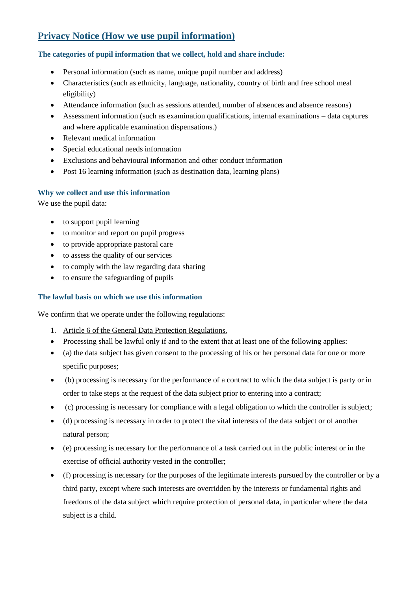# **Privacy Notice (How we use pupil information)**

# **The categories of pupil information that we collect, hold and share include:**

- Personal information (such as name, unique pupil number and address)
- Characteristics (such as ethnicity, language, nationality, country of birth and free school meal eligibility)
- Attendance information (such as sessions attended, number of absences and absence reasons)
- Assessment information (such as examination qualifications, internal examinations data captures and where applicable examination dispensations.)
- Relevant medical information
- Special educational needs information
- Exclusions and behavioural information and other conduct information
- Post 16 learning information (such as destination data, learning plans)

# **Why we collect and use this information**

We use the pupil data:

- to support pupil learning
- to monitor and report on pupil progress
- to provide appropriate pastoral care
- to assess the quality of our services
- to comply with the law regarding data sharing
- to ensure the safeguarding of pupils

# **The lawful basis on which we use this information**

We confirm that we operate under the following regulations:

- 1. Article 6 of the General Data Protection Regulations.
- Processing shall be lawful only if and to the extent that at least one of the following applies:
- (a) the data subject has given consent to the processing of his or her personal data for one or more specific purposes;
- (b) processing is necessary for the performance of a contract to which the data subject is party or in order to take steps at the request of the data subject prior to entering into a contract;
- (c) processing is necessary for compliance with a legal obligation to which the controller is subject;
- (d) processing is necessary in order to protect the vital interests of the data subject or of another natural person;
- (e) processing is necessary for the performance of a task carried out in the public interest or in the exercise of official authority vested in the controller;
- (f) processing is necessary for the purposes of the legitimate interests pursued by the controller or by a third party, except where such interests are overridden by the interests or fundamental rights and freedoms of the data subject which require protection of personal data, in particular where the data subject is a child.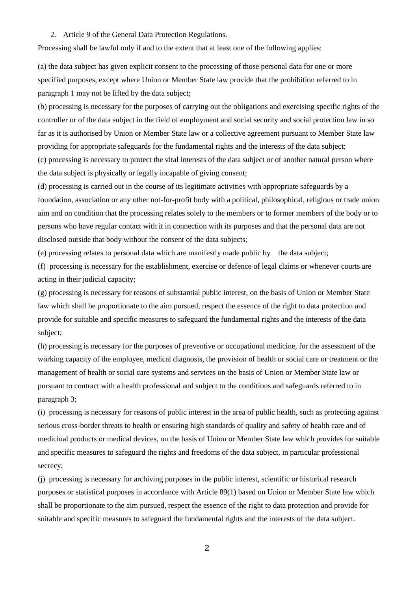#### 2. Article 9 of the General Data Protection Regulations.

Processing shall be lawful only if and to the extent that at least one of the following applies:

(a) the data subject has given explicit consent to the processing of those personal data for one or more specified purposes, except where Union or Member State law provide that the prohibition referred to in paragraph 1 may not be lifted by the data subject;

(b) processing is necessary for the purposes of carrying out the obligations and exercising specific rights of the controller or of the data subject in the field of employment and social security and social protection law in so far as it is authorised by Union or Member State law or a collective agreement pursuant to Member State law providing for appropriate safeguards for the fundamental rights and the interests of the data subject;

(c) processing is necessary to protect the vital interests of the data subject or of another natural person where the data subject is physically or legally incapable of giving consent;

(d) processing is carried out in the course of its legitimate activities with appropriate safeguards by a foundation, association or any other not-for-profit body with a political, philosophical, religious or trade union aim and on condition that the processing relates solely to the members or to former members of the body or to persons who have regular contact with it in connection with its purposes and that the personal data are not disclosed outside that body without the consent of the data subjects;

(e) processing relates to personal data which are manifestly made public by the data subject;

(f) processing is necessary for the establishment, exercise or defence of legal claims or whenever courts are acting in their judicial capacity;

(g) processing is necessary for reasons of substantial public interest, on the basis of Union or Member State law which shall be proportionate to the aim pursued, respect the essence of the right to data protection and provide for suitable and specific measures to safeguard the fundamental rights and the interests of the data subject;

(h) processing is necessary for the purposes of preventive or occupational medicine, for the assessment of the working capacity of the employee, medical diagnosis, the provision of health or social care or treatment or the management of health or social care systems and services on the basis of Union or Member State law or pursuant to contract with a health professional and subject to the conditions and safeguards referred to in paragraph 3;

(i) processing is necessary for reasons of public interest in the area of public health, such as protecting against serious cross-border threats to health or ensuring high standards of quality and safety of health care and of medicinal products or medical devices, on the basis of Union or Member State law which provides for suitable and specific measures to safeguard the rights and freedoms of the data subject, in particular professional secrecy;

(j) processing is necessary for archiving purposes in the public interest, scientific or historical research purposes or statistical purposes in accordance with Article 89(1) based on Union or Member State law which shall be proportionate to the aim pursued, respect the essence of the right to data protection and provide for suitable and specific measures to safeguard the fundamental rights and the interests of the data subject.

2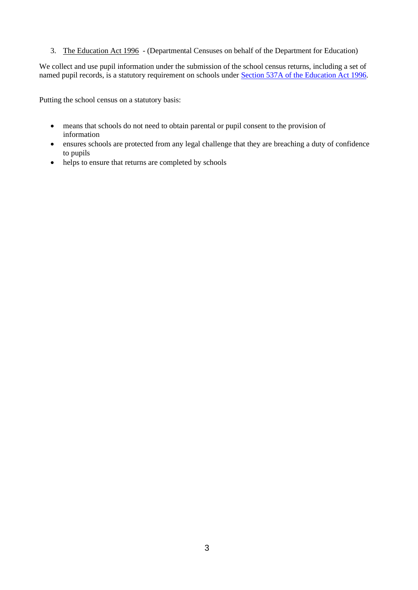3. The Education Act 1996 - (Departmental Censuses on behalf of the Department for Education)

We collect and use pupil information under the submission of the school census returns, including a set of named pupil records, is a statutory requirement on schools under Section 537A of the [Education](http://www.legislation.gov.uk/ukpga/1996/56/section/537A) Act 1996.

Putting the school census on a statutory basis:

- means that schools do not need to obtain parental or pupil consent to the provision of information
- ensures schools are protected from any legal challenge that they are breaching a duty of confidence to pupils
- helps to ensure that returns are completed by schools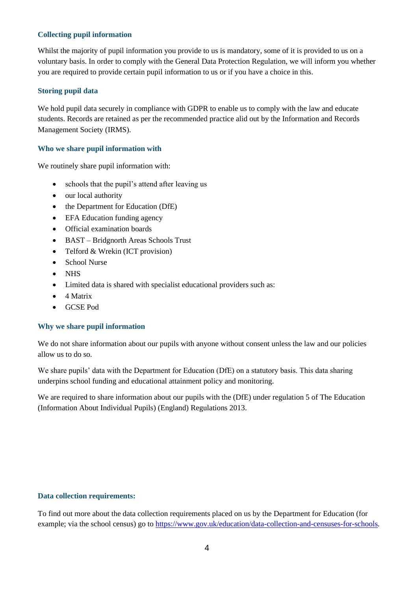## **Collecting pupil information**

Whilst the majority of pupil information you provide to us is mandatory, some of it is provided to us on a voluntary basis. In order to comply with the General Data Protection Regulation, we will inform you whether you are required to provide certain pupil information to us or if you have a choice in this.

## **Storing pupil data**

We hold pupil data securely in compliance with GDPR to enable us to comply with the law and educate students. Records are retained as per the recommended practice alid out by the Information and Records Management Society (IRMS).

## **Who we share pupil information with**

We routinely share pupil information with:

- schools that the pupil's attend after leaving us
- our local authority
- the Department for Education (DfE)
- EFA Education funding agency
- Official examination boards
- BAST Bridgnorth Areas Schools Trust
- Telford & Wrekin (ICT provision)
- School Nurse
- NHS
- Limited data is shared with specialist educational providers such as:
- 4 Matrix
- GCSE Pod

#### **Why we share pupil information**

We do not share information about our pupils with anyone without consent unless the law and our policies allow us to do so.

We share pupils' data with the Department for Education (DfE) on a statutory basis. This data sharing underpins school funding and educational attainment policy and monitoring.

We are required to share information about our pupils with the (DfE) under regulation 5 of The Education (Information About Individual Pupils) (England) Regulations 2013.

#### **Data collection requirements:**

To find out more about the data collection requirements placed on us by the Department for Education (for example; via the school census) go to [https://www.gov.uk/education/data-collection-and-censuses-for-schools.](https://www.gov.uk/education/data-collection-and-censuses-for-schools)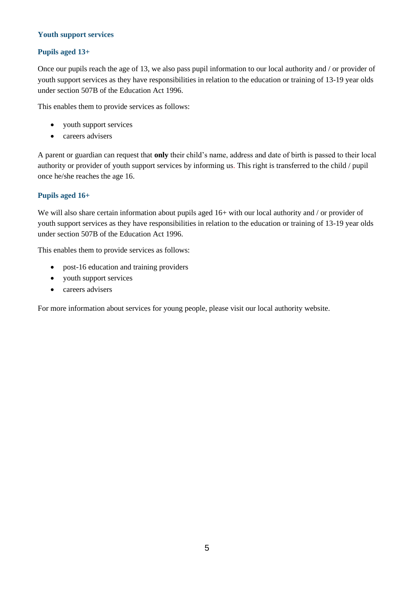# **Youth support services**

# **Pupils aged 13+**

Once our pupils reach the age of 13, we also pass pupil information to our local authority and / or provider of youth support services as they have responsibilities in relation to the education or training of 13-19 year olds under section 507B of the Education Act 1996.

This enables them to provide services as follows:

- youth support services
- careers advisers

A parent or guardian can request that **only** their child's name, address and date of birth is passed to their local authority or provider of youth support services by informing us. This right is transferred to the child / pupil once he/she reaches the age 16.

# **Pupils aged 16+**

We will also share certain information about pupils aged 16+ with our local authority and / or provider of youth support services as they have responsibilities in relation to the education or training of 13-19 year olds under section 507B of the Education Act 1996.

This enables them to provide services as follows:

- post-16 education and training providers
- youth support services
- careers advisers

For more information about services for young people, please visit our local authority website.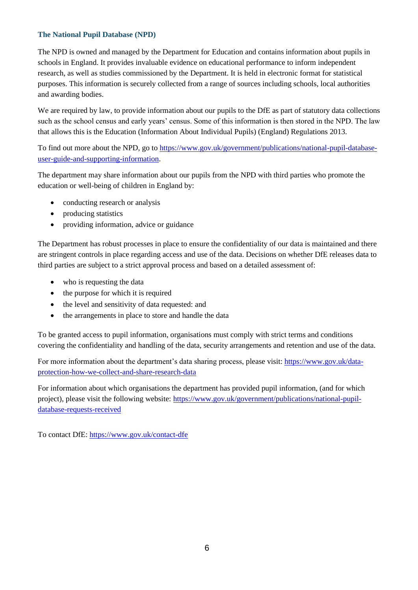# **The National Pupil Database (NPD)**

The NPD is owned and managed by the Department for Education and contains information about pupils in schools in England. It provides invaluable evidence on educational performance to inform independent research, as well as studies commissioned by the Department. It is held in electronic format for statistical purposes. This information is securely collected from a range of sources including schools, local authorities and awarding bodies.

We are required by law, to provide information about our pupils to the DfE as part of statutory data collections such as the school census and early years' census. Some of this information is then stored in the NPD. The law that allows this is the Education (Information About Individual Pupils) (England) Regulations 2013.

To find out more about the NPD, go to [https://www.gov.uk/government/publications/national-pupil-database](https://www.gov.uk/government/publications/national-pupil-database-user-guide-and-supporting-information)[user-guide-and-supporting-information.](https://www.gov.uk/government/publications/national-pupil-database-user-guide-and-supporting-information)

The department may share information about our pupils from the NPD with third parties who promote the education or well-being of children in England by:

- conducting research or analysis
- producing statistics
- providing information, advice or guidance

The Department has robust processes in place to ensure the confidentiality of our data is maintained and there are stringent controls in place regarding access and use of the data. Decisions on whether DfE releases data to third parties are subject to a strict approval process and based on a detailed assessment of:

- who is requesting the data
- the purpose for which it is required
- the level and sensitivity of data requested: and
- the arrangements in place to store and handle the data

To be granted access to pupil information, organisations must comply with strict terms and conditions covering the confidentiality and handling of the data, security arrangements and retention and use of the data.

For more information about the department's data sharing process, please visit: [https://www.gov.uk/data](https://www.gov.uk/data-protection-how-we-collect-and-share-research-data)[protection-how-we-collect-and-share-research-data](https://www.gov.uk/data-protection-how-we-collect-and-share-research-data)

For information about which organisations the department has provided pupil information, (and for which project), please visit the following website: [https://www.gov.uk/government/publications/national-pupil](https://www.gov.uk/government/publications/national-pupil-database-requests-received)[database-requests-received](https://www.gov.uk/government/publications/national-pupil-database-requests-received)

To contact DfE:<https://www.gov.uk/contact-dfe>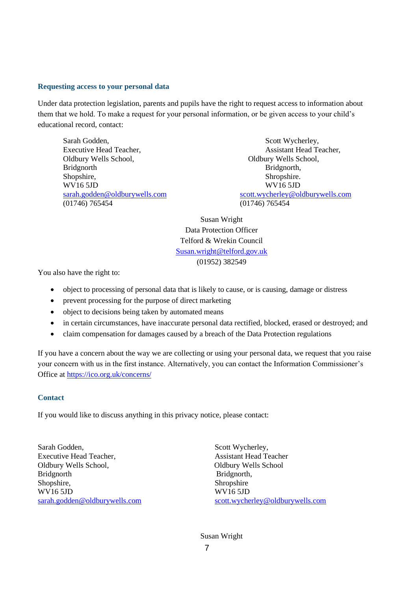#### **Requesting access to your personal data**

Under data protection legislation, parents and pupils have the right to request access to information about them that we hold. To make a request for your personal information, or be given access to your child's educational record, contact:

Sarah Godden, Scott Wycherley, Scott Wycherley, Executive Head Teacher, The Contract of the Assistant Head Teacher, Assistant Head Teacher, Oldbury Wells School, Oldbury Wells School, Bridgnorth Bridgnorth, Shopshire, Shropshire. WV16 5JD WV16 5JD (01746) 765454 (01746) 765454

[sarah.godden@oldburywells.com](mailto:sarah.godden@oldburywells.com) [scott.wycherley@oldburywells.com](mailto:scott.wycherley@oldburywells.com)

Susan Wright Data Protection Officer Telford & Wrekin Council [Susan.wright@telford.gov.uk](mailto:Susan.wright@telford.gov.uk) (01952) 382549

You also have the right to:

- object to processing of personal data that is likely to cause, or is causing, damage or distress
- prevent processing for the purpose of direct marketing
- object to decisions being taken by automated means
- in certain circumstances, have inaccurate personal data rectified, blocked, erased or destroyed; and
- claim compensation for damages caused by a breach of the Data Protection regulations

If you have a concern about the way we are collecting or using your personal data, we request that you raise your concern with us in the first instance. Alternatively, you can contact the Information Commissioner's Office at<https://ico.org.uk/concerns/>

#### **Contact**

If you would like to discuss anything in this privacy notice, please contact:

Sarah Godden, Sarah Godden, Scott Wycherley, Scott Wycherley, Executive Head Teacher, and Teacher Assistant Head Teacher Oldbury Wells School, Oldbury Wells School Bridgnorth Bridgnorth, Shopshire, Shopshire, Shopshire, Shopshire, Shopshire, Shopshire, Shopshire, Shopshire, Shopshire, Shopshire, Shopshire, Shopshire, Shopshire, Shopshire, Shopshire, Shopshire, Shopshire, Shopshire, Shopshire, Shopshire, Sh WV16 5JD WV16 5JD

[sarah.godden@oldburywells.com](mailto:sarah.godden@oldburywells.com) [scott.wycherley@oldburywells.com](mailto:scott.wycherley@oldburywells.com)

Susan Wright